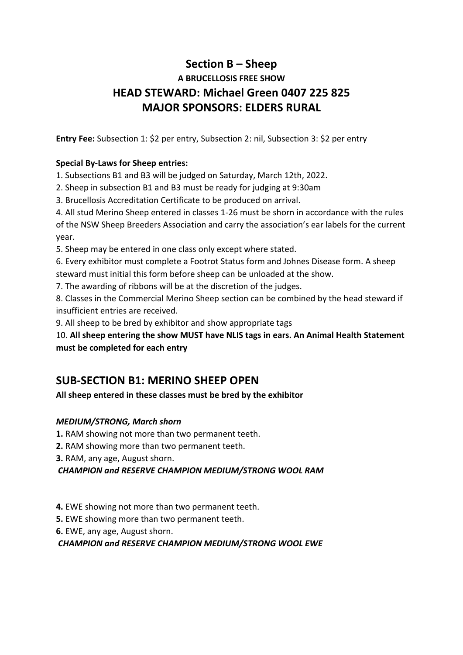# **Section B – Sheep A BRUCELLOSIS FREE SHOW HEAD STEWARD: Michael Green 0407 225 825 MAJOR SPONSORS: ELDERS RURAL**

**Entry Fee:** Subsection 1: \$2 per entry, Subsection 2: nil, Subsection 3: \$2 per entry

#### **Special By-Laws for Sheep entries:**

1. Subsections B1 and B3 will be judged on Saturday, March 12th, 2022.

2. Sheep in subsection B1 and B3 must be ready for judging at 9:30am

3. Brucellosis Accreditation Certificate to be produced on arrival.

4. All stud Merino Sheep entered in classes 1-26 must be shorn in accordance with the rules of the NSW Sheep Breeders Association and carry the association's ear labels for the current year.

5. Sheep may be entered in one class only except where stated.

6. Every exhibitor must complete a Footrot Status form and Johnes Disease form. A sheep steward must initial this form before sheep can be unloaded at the show.

7. The awarding of ribbons will be at the discretion of the judges.

8. Classes in the Commercial Merino Sheep section can be combined by the head steward if insufficient entries are received.

9. All sheep to be bred by exhibitor and show appropriate tags

10. **All sheep entering the show MUST have NLIS tags in ears. An Animal Health Statement must be completed for each entry**

## **SUB-SECTION B1: MERINO SHEEP OPEN**

**All sheep entered in these classes must be bred by the exhibitor**

## *MEDIUM/STRONG, March shorn*

**1.** RAM showing not more than two permanent teeth.

**2.** RAM showing more than two permanent teeth.

**3.** RAM, any age, August shorn.

*CHAMPION and RESERVE CHAMPION MEDIUM/STRONG WOOL RAM* 

**4.** EWE showing not more than two permanent teeth.

**5.** EWE showing more than two permanent teeth.

**6.** EWE, any age, August shorn.

*CHAMPION and RESERVE CHAMPION MEDIUM/STRONG WOOL EWE*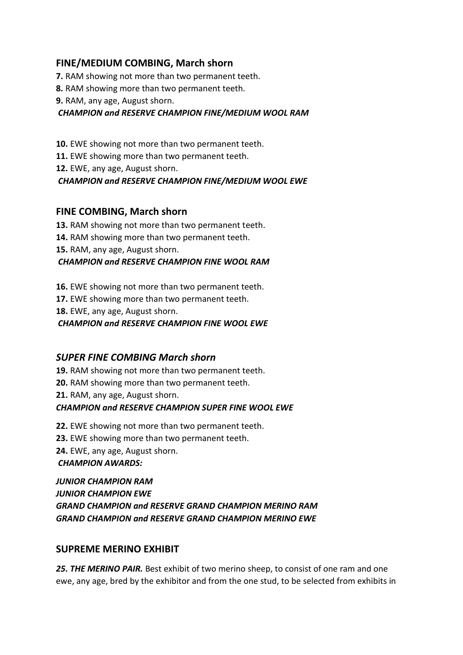### **FINE/MEDIUM COMBING, March shorn**

**7.** RAM showing not more than two permanent teeth.

**8.** RAM showing more than two permanent teeth.

**9.** RAM, any age, August shorn.

*CHAMPION and RESERVE CHAMPION FINE/MEDIUM WOOL RAM* 

**10.** EWE showing not more than two permanent teeth.

**11.** EWE showing more than two permanent teeth.

**12.** EWE, any age, August shorn.

*CHAMPION and RESERVE CHAMPION FINE/MEDIUM WOOL EWE* 

#### **FINE COMBING, March shorn**

**13.** RAM showing not more than two permanent teeth.

**14.** RAM showing more than two permanent teeth.

**15.** RAM, any age, August shorn.

#### *CHAMPION and RESERVE CHAMPION FINE WOOL RAM*

**16.** EWE showing not more than two permanent teeth.

**17.** EWE showing more than two permanent teeth.

**18.** EWE, any age, August shorn.

*CHAMPION and RESERVE CHAMPION FINE WOOL EWE* 

#### *SUPER FINE COMBING March shorn*

**19.** RAM showing not more than two permanent teeth. **20.** RAM showing more than two permanent teeth. **21.** RAM, any age, August shorn. *CHAMPION and RESERVE CHAMPION SUPER FINE WOOL EWE* 

**22.** EWE showing not more than two permanent teeth. **23.** EWE showing more than two permanent teeth. **24.** EWE, any age, August shorn. *CHAMPION AWARDS:* 

*JUNIOR CHAMPION RAM JUNIOR CHAMPION EWE GRAND CHAMPION and RESERVE GRAND CHAMPION MERINO RAM GRAND CHAMPION and RESERVE GRAND CHAMPION MERINO EWE* 

#### **SUPREME MERINO EXHIBIT**

*25. THE MERINO PAIR.* Best exhibit of two merino sheep, to consist of one ram and one ewe, any age, bred by the exhibitor and from the one stud, to be selected from exhibits in